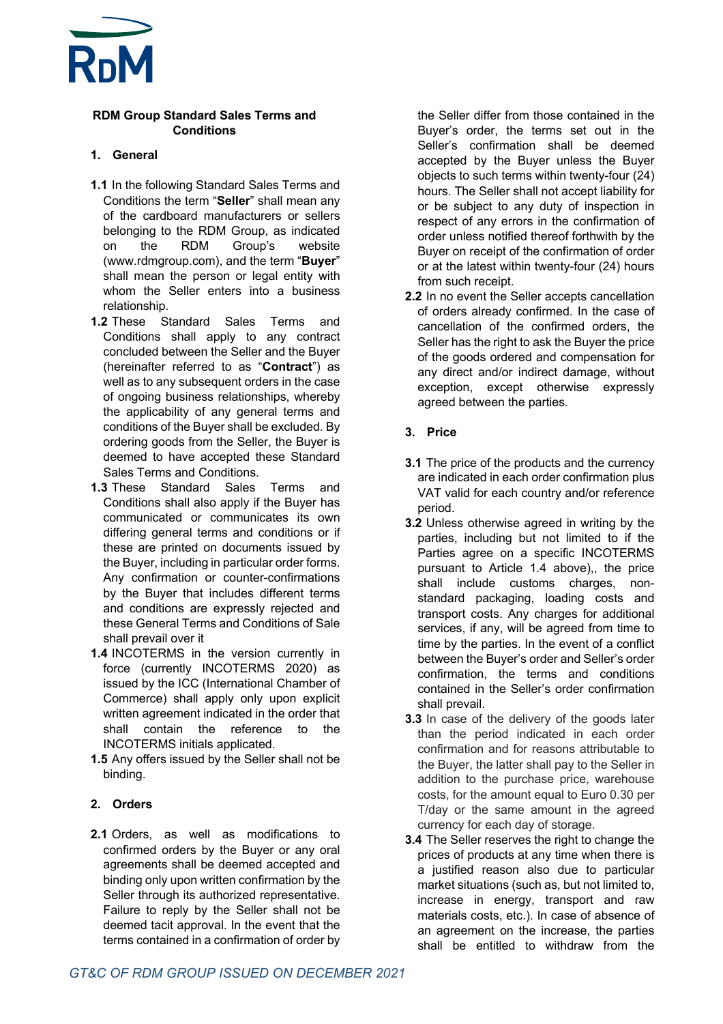

#### **RDM Group Standard Sales Terms and Conditions**

#### **1. General**

- **1.1** In the following Standard Sales Terms and Conditions the term "**Seller**" shall mean any of the cardboard manufacturers or sellers belonging to the RDM Group, as indicated on the RDM Group's website (www.rdmgroup.com), and the term "**Buyer**" shall mean the person or legal entity with whom the Seller enters into a business relationship.
- **1.2** These Standard Sales Terms and Conditions shall apply to any contract concluded between the Seller and the Buyer (hereinafter referred to as "**Contract**") as well as to any subsequent orders in the case of ongoing business relationships, whereby the applicability of any general terms and conditions of the Buyer shall be excluded. By ordering goods from the Seller, the Buyer is deemed to have accepted these Standard Sales Terms and Conditions.
- **1.3** These Standard Sales Terms and Conditions shall also apply if the Buyer has communicated or communicates its own differing general terms and conditions or if these are printed on documents issued by the Buyer, including in particular order forms. Any confirmation or counter-confirmations by the Buyer that includes different terms and conditions are expressly rejected and these General Terms and Conditions of Sale shall prevail over it
- **1.4** INCOTERMS in the version currently in force (currently INCOTERMS 2020) as issued by the ICC (International Chamber of Commerce) shall apply only upon explicit written agreement indicated in the order that shall contain the reference to the INCOTERMS initials applicated.
- **1.5** Any offers issued by the Seller shall not be binding.

## **2. Orders**

**2.1** Orders, as well as modifications to confirmed orders by the Buyer or any oral agreements shall be deemed accepted and binding only upon written confirmation by the Seller through its authorized representative. Failure to reply by the Seller shall not be deemed tacit approval. In the event that the terms contained in a confirmation of order by

the Seller differ from those contained in the Buyer's order, the terms set out in the Seller's confirmation shall be deemed accepted by the Buyer unless the Buyer objects to such terms within twenty-four (24) hours. The Seller shall not accept liability for or be subject to any duty of inspection in respect of any errors in the confirmation of order unless notified thereof forthwith by the Buyer on receipt of the confirmation of order or at the latest within twenty-four (24) hours from such receipt.

**2.2** In no event the Seller accepts cancellation of orders already confirmed. In the case of cancellation of the confirmed orders, the Seller has the right to ask the Buyer the price of the goods ordered and compensation for any direct and/or indirect damage, without exception, except otherwise expressly agreed between the parties.

#### **3. Price**

- **3.1** The price of the products and the currency are indicated in each order confirmation plus VAT valid for each country and/or reference period.
- **3.2** Unless otherwise agreed in writing by the parties, including but not limited to if the Parties agree on a specific INCOTERMS pursuant to Article 1.4 above),, the price shall include customs charges, nonstandard packaging, loading costs and transport costs. Any charges for additional services, if any, will be agreed from time to time by the parties. In the event of a conflict between the Buyer's order and Seller's order confirmation, the terms and conditions contained in the Seller's order confirmation shall prevail.
- **3.3** In case of the delivery of the goods later than the period indicated in each order confirmation and for reasons attributable to the Buyer, the latter shall pay to the Seller in addition to the purchase price, warehouse costs, for the amount equal to Euro 0.30 per T/day or the same amount in the agreed currency for each day of storage.
- **3.4** The Seller reserves the right to change the prices of products at any time when there is a justified reason also due to particular market situations (such as, but not limited to, increase in energy, transport and raw materials costs, etc.). In case of absence of an agreement on the increase, the parties shall be entitled to withdraw from the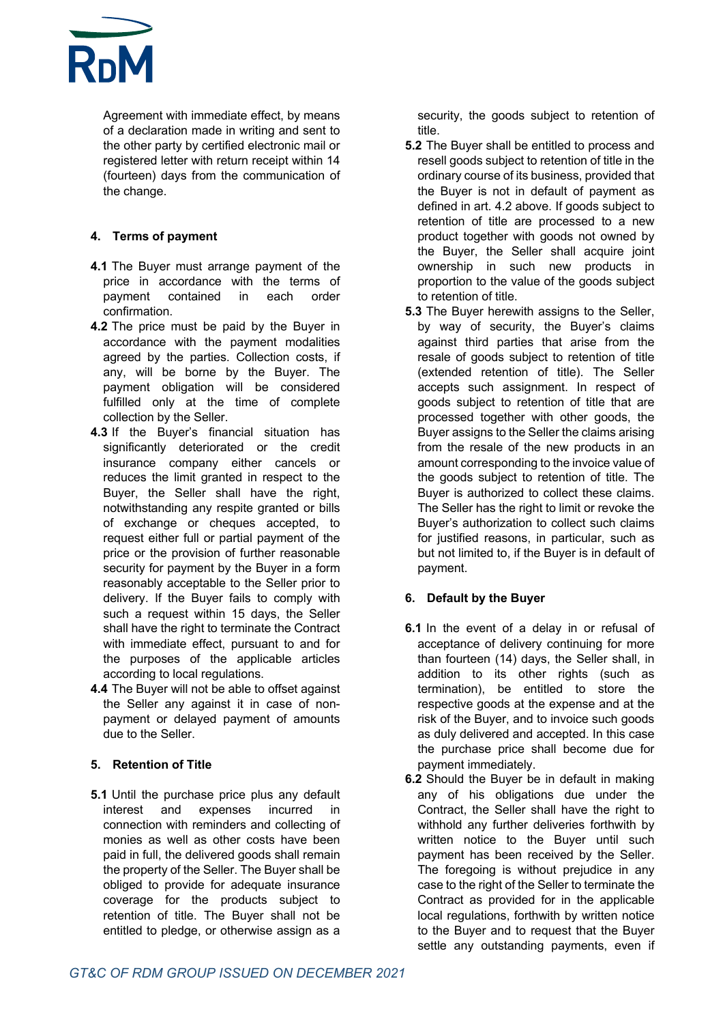

Agreement with immediate effect, by means of a declaration made in writing and sent to the other party by certified electronic mail or registered letter with return receipt within 14 (fourteen) days from the communication of the change.

## **4. Terms of payment**

- **4.1** The Buyer must arrange payment of the price in accordance with the terms of payment contained in each order confirmation.
- **4.2** The price must be paid by the Buyer in accordance with the payment modalities agreed by the parties. Collection costs, if any, will be borne by the Buyer. The payment obligation will be considered fulfilled only at the time of complete collection by the Seller.
- **4.3** If the Buyer's financial situation has significantly deteriorated or the credit insurance company either cancels or reduces the limit granted in respect to the Buyer, the Seller shall have the right, notwithstanding any respite granted or bills of exchange or cheques accepted, to request either full or partial payment of the price or the provision of further reasonable security for payment by the Buyer in a form reasonably acceptable to the Seller prior to delivery. If the Buyer fails to comply with such a request within 15 days, the Seller shall have the right to terminate the Contract with immediate effect, pursuant to and for the purposes of the applicable articles according to local regulations.
- **4.4** The Buyer will not be able to offset against the Seller any against it in case of nonpayment or delayed payment of amounts due to the Seller.

#### **5. Retention of Title**

**5.1** Until the purchase price plus any default interest and expenses incurred in connection with reminders and collecting of monies as well as other costs have been paid in full, the delivered goods shall remain the property of the Seller. The Buyer shall be obliged to provide for adequate insurance coverage for the products subject to retention of title. The Buyer shall not be entitled to pledge, or otherwise assign as a

security, the goods subject to retention of title.

- **5.2** The Buyer shall be entitled to process and resell goods subject to retention of title in the ordinary course of its business, provided that the Buyer is not in default of payment as defined in art. 4.2 above. If goods subject to retention of title are processed to a new product together with goods not owned by the Buyer, the Seller shall acquire joint ownership in such new products in proportion to the value of the goods subject to retention of title.
- **5.3** The Buyer herewith assigns to the Seller, by way of security, the Buyer's claims against third parties that arise from the resale of goods subject to retention of title (extended retention of title). The Seller accepts such assignment. In respect of goods subject to retention of title that are processed together with other goods, the Buyer assigns to the Seller the claims arising from the resale of the new products in an amount corresponding to the invoice value of the goods subject to retention of title. The Buyer is authorized to collect these claims. The Seller has the right to limit or revoke the Buyer's authorization to collect such claims for justified reasons, in particular, such as but not limited to, if the Buyer is in default of payment.

## **6. Default by the Buyer**

- **6.1** In the event of a delay in or refusal of acceptance of delivery continuing for more than fourteen (14) days, the Seller shall, in addition to its other rights (such as termination), be entitled to store the respective goods at the expense and at the risk of the Buyer, and to invoice such goods as duly delivered and accepted. In this case the purchase price shall become due for payment immediately.
- **6.2** Should the Buyer be in default in making any of his obligations due under the Contract, the Seller shall have the right to withhold any further deliveries forthwith by written notice to the Buyer until such payment has been received by the Seller. The foregoing is without prejudice in any case to the right of the Seller to terminate the Contract as provided for in the applicable local regulations, forthwith by written notice to the Buyer and to request that the Buyer settle any outstanding payments, even if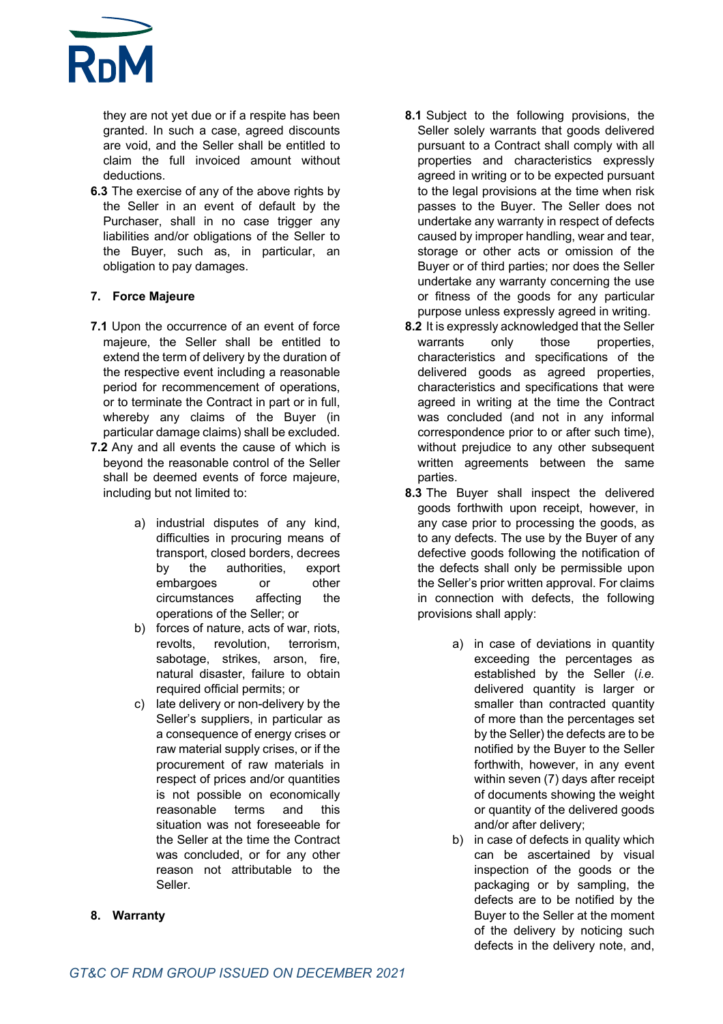

they are not yet due or if a respite has been granted. In such a case, agreed discounts are void, and the Seller shall be entitled to claim the full invoiced amount without deductions.

**6.3** The exercise of any of the above rights by the Seller in an event of default by the Purchaser, shall in no case trigger any liabilities and/or obligations of the Seller to the Buyer, such as, in particular, an obligation to pay damages.

## **7. Force Majeure**

- **7.1** Upon the occurrence of an event of force majeure, the Seller shall be entitled to extend the term of delivery by the duration of the respective event including a reasonable period for recommencement of operations, or to terminate the Contract in part or in full, whereby any claims of the Buyer (in particular damage claims) shall be excluded.
- **7.2** Any and all events the cause of which is beyond the reasonable control of the Seller shall be deemed events of force majeure, including but not limited to:
	- a) industrial disputes of any kind, difficulties in procuring means of transport, closed borders, decrees by the authorities, export embargoes or other circumstances affecting the operations of the Seller; or
	- b) forces of nature, acts of war, riots, revolts, revolution, terrorism, sabotage, strikes, arson, fire, natural disaster, failure to obtain required official permits; or
	- c) late delivery or non-delivery by the Seller's suppliers, in particular as a consequence of energy crises or raw material supply crises, or if the procurement of raw materials in respect of prices and/or quantities is not possible on economically reasonable terms and this situation was not foreseeable for the Seller at the time the Contract was concluded, or for any other reason not attributable to the Seller.
- **8.1** Subject to the following provisions, the Seller solely warrants that goods delivered pursuant to a Contract shall comply with all properties and characteristics expressly agreed in writing or to be expected pursuant to the legal provisions at the time when risk passes to the Buyer. The Seller does not undertake any warranty in respect of defects caused by improper handling, wear and tear, storage or other acts or omission of the Buyer or of third parties; nor does the Seller undertake any warranty concerning the use or fitness of the goods for any particular purpose unless expressly agreed in writing.
- **8.2** It is expressly acknowledged that the Seller warrants only those properties, characteristics and specifications of the delivered goods as agreed properties, characteristics and specifications that were agreed in writing at the time the Contract was concluded (and not in any informal correspondence prior to or after such time), without prejudice to any other subsequent written agreements between the same parties.
- **8.3** The Buyer shall inspect the delivered goods forthwith upon receipt, however, in any case prior to processing the goods, as to any defects. The use by the Buyer of any defective goods following the notification of the defects shall only be permissible upon the Seller's prior written approval. For claims in connection with defects, the following provisions shall apply:
	- a) in case of deviations in quantity exceeding the percentages as established by the Seller (*i.e.* delivered quantity is larger or smaller than contracted quantity of more than the percentages set by the Seller) the defects are to be notified by the Buyer to the Seller forthwith, however, in any event within seven (7) days after receipt of documents showing the weight or quantity of the delivered goods and/or after delivery;
	- b) in case of defects in quality which can be ascertained by visual inspection of the goods or the packaging or by sampling, the defects are to be notified by the Buyer to the Seller at the moment of the delivery by noticing such defects in the delivery note, and,

# **8. Warranty**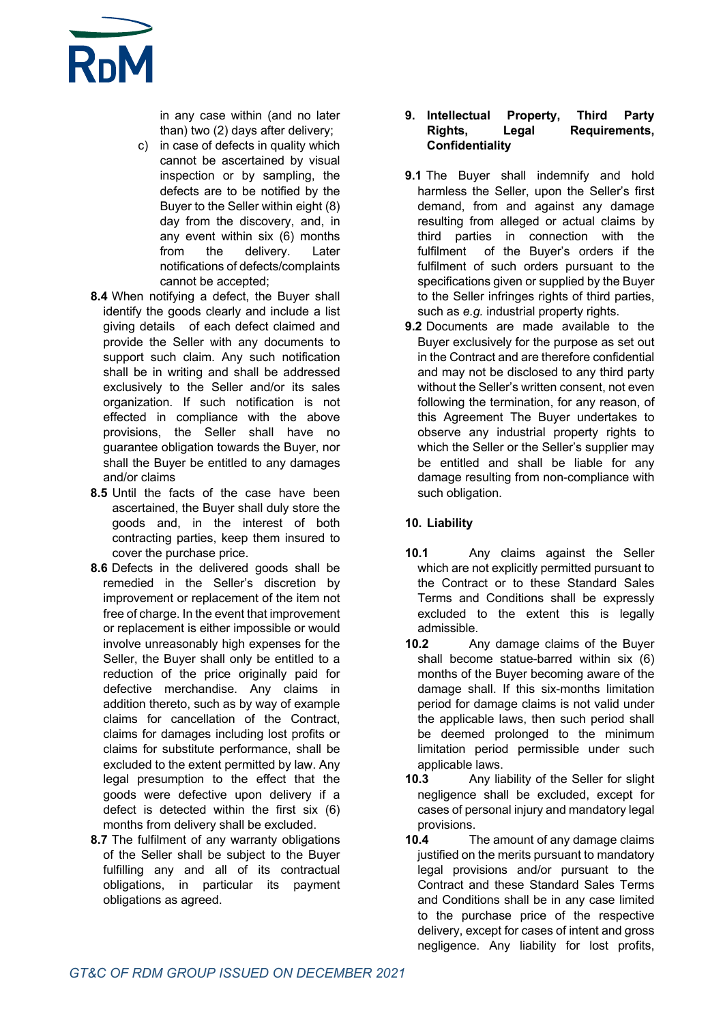

in any case within (and no later than) two (2) days after delivery;

- c) in case of defects in quality which cannot be ascertained by visual inspection or by sampling, the defects are to be notified by the Buyer to the Seller within eight (8) day from the discovery, and, in any event within six (6) months from the delivery. Later notifications of defects/complaints cannot be accepted;
- **8.4** When notifying a defect, the Buyer shall identify the goods clearly and include a list giving details of each defect claimed and provide the Seller with any documents to support such claim. Any such notification shall be in writing and shall be addressed exclusively to the Seller and/or its sales organization. If such notification is not effected in compliance with the above provisions, the Seller shall have no guarantee obligation towards the Buyer, nor shall the Buyer be entitled to any damages and/or claims
- **8.5** Until the facts of the case have been ascertained, the Buyer shall duly store the goods and, in the interest of both contracting parties, keep them insured to cover the purchase price.
- **8.6** Defects in the delivered goods shall be remedied in the Seller's discretion by improvement or replacement of the item not free of charge. In the event that improvement or replacement is either impossible or would involve unreasonably high expenses for the Seller, the Buyer shall only be entitled to a reduction of the price originally paid for defective merchandise. Any claims in addition thereto, such as by way of example claims for cancellation of the Contract, claims for damages including lost profits or claims for substitute performance, shall be excluded to the extent permitted by law. Any legal presumption to the effect that the goods were defective upon delivery if a defect is detected within the first six (6) months from delivery shall be excluded.
- **8.7** The fulfilment of any warranty obligations of the Seller shall be subject to the Buyer fulfilling any and all of its contractual obligations, in particular its payment obligations as agreed.

#### **9. Intellectual Property, Third Party Rights, Legal Requirements, Confidentiality**

- **9.1** The Buyer shall indemnify and hold harmless the Seller, upon the Seller's first demand, from and against any damage resulting from alleged or actual claims by third parties in connection with the fulfilment of the Buyer's orders if the fulfilment of such orders pursuant to the specifications given or supplied by the Buyer to the Seller infringes rights of third parties, such as *e.g.* industrial property rights.
- **9.2** Documents are made available to the Buyer exclusively for the purpose as set out in the Contract and are therefore confidential and may not be disclosed to any third party without the Seller's written consent, not even following the termination, for any reason, of this Agreement The Buyer undertakes to observe any industrial property rights to which the Seller or the Seller's supplier may be entitled and shall be liable for any damage resulting from non-compliance with such obligation.

## **10. Liability**

- **10.1** Any claims against the Seller which are not explicitly permitted pursuant to the Contract or to these Standard Sales Terms and Conditions shall be expressly excluded to the extent this is legally admissible.
- **10.2** Any damage claims of the Buyer shall become statue-barred within six (6) months of the Buyer becoming aware of the damage shall. If this six-months limitation period for damage claims is not valid under the applicable laws, then such period shall be deemed prolonged to the minimum limitation period permissible under such applicable laws.
- **10.3** Any liability of the Seller for slight negligence shall be excluded, except for cases of personal injury and mandatory legal provisions.
- **10.4** The amount of any damage claims justified on the merits pursuant to mandatory legal provisions and/or pursuant to the Contract and these Standard Sales Terms and Conditions shall be in any case limited to the purchase price of the respective delivery, except for cases of intent and gross negligence. Any liability for lost profits,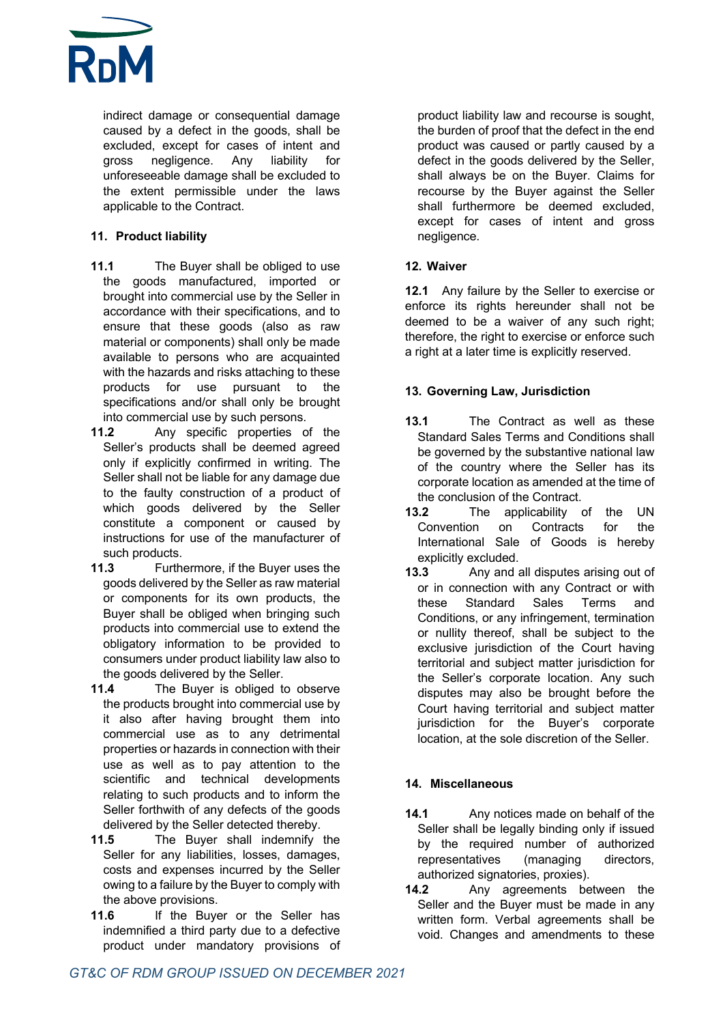

indirect damage or consequential damage caused by a defect in the goods, shall be excluded, except for cases of intent and gross negligence. Any liability for unforeseeable damage shall be excluded to the extent permissible under the laws applicable to the Contract.

## **11. Product liability**

- **11.1** The Buyer shall be obliged to use the goods manufactured, imported or brought into commercial use by the Seller in accordance with their specifications, and to ensure that these goods (also as raw material or components) shall only be made available to persons who are acquainted with the hazards and risks attaching to these products for use pursuant to the specifications and/or shall only be brought into commercial use by such persons.
- **11.2** Any specific properties of the Seller's products shall be deemed agreed only if explicitly confirmed in writing. The Seller shall not be liable for any damage due to the faulty construction of a product of which goods delivered by the Seller constitute a component or caused by instructions for use of the manufacturer of such products.
- **11.3** Furthermore, if the Buyer uses the goods delivered by the Seller as raw material or components for its own products, the Buyer shall be obliged when bringing such products into commercial use to extend the obligatory information to be provided to consumers under product liability law also to the goods delivered by the Seller.
- **11.4** The Buyer is obliged to observe the products brought into commercial use by it also after having brought them into commercial use as to any detrimental properties or hazards in connection with their use as well as to pay attention to the scientific and technical developments relating to such products and to inform the Seller forthwith of any defects of the goods delivered by the Seller detected thereby.
- **11.5** The Buyer shall indemnify the Seller for any liabilities, losses, damages, costs and expenses incurred by the Seller owing to a failure by the Buyer to comply with the above provisions.
- 11.6 If the Buyer or the Seller has indemnified a third party due to a defective product under mandatory provisions of

product liability law and recourse is sought, the burden of proof that the defect in the end product was caused or partly caused by a defect in the goods delivered by the Seller, shall always be on the Buyer. Claims for recourse by the Buyer against the Seller shall furthermore be deemed excluded, except for cases of intent and gross negligence.

## **12. Waiver**

**12.1** Any failure by the Seller to exercise or enforce its rights hereunder shall not be deemed to be a waiver of any such right; therefore, the right to exercise or enforce such a right at a later time is explicitly reserved.

## **13. Governing Law, Jurisdiction**

- **13.1** The Contract as well as these Standard Sales Terms and Conditions shall be governed by the substantive national law of the country where the Seller has its corporate location as amended at the time of the conclusion of the Contract.
- **13.2** The applicability of the UN Convention on Contracts for the International Sale of Goods is hereby explicitly excluded.
- **13.3** Any and all disputes arising out of or in connection with any Contract or with these Standard Sales Terms and Conditions, or any infringement, termination or nullity thereof, shall be subject to the exclusive jurisdiction of the Court having territorial and subject matter jurisdiction for the Seller's corporate location. Any such disputes may also be brought before the Court having territorial and subject matter jurisdiction for the Buyer's corporate location, at the sole discretion of the Seller.

# **14. Miscellaneous**

- **14.1** Any notices made on behalf of the Seller shall be legally binding only if issued by the required number of authorized representatives (managing directors, authorized signatories, proxies).
- **14.2** Any agreements between the Seller and the Buyer must be made in any written form. Verbal agreements shall be void. Changes and amendments to these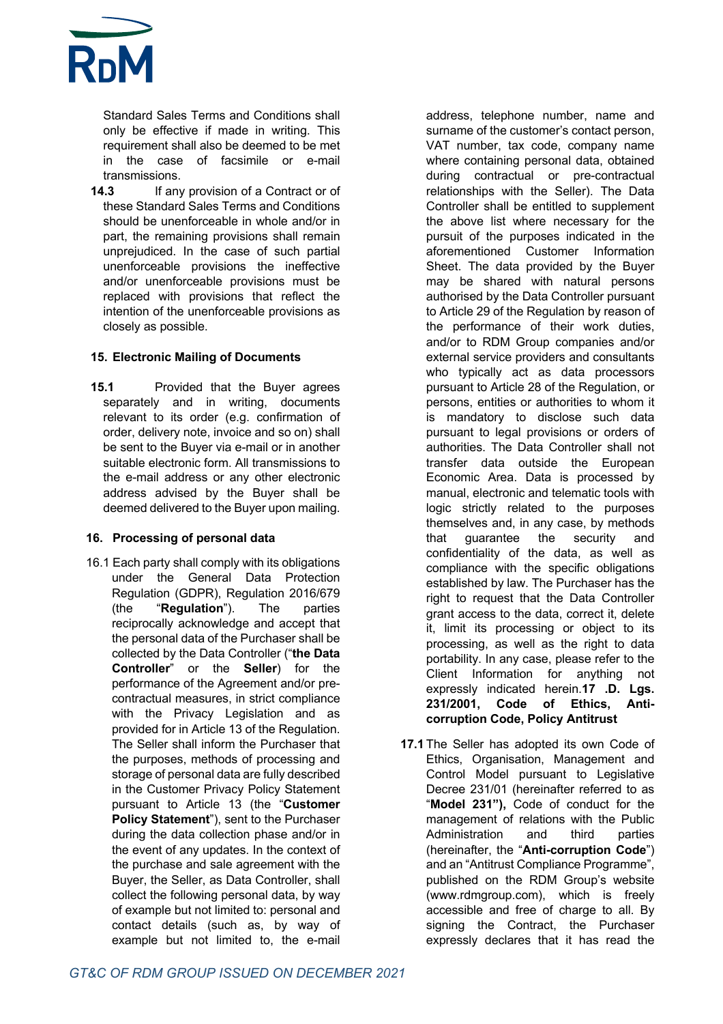

Standard Sales Terms and Conditions shall only be effective if made in writing. This requirement shall also be deemed to be met in the case of facsimile or e-mail transmissions.

**14.3** If any provision of a Contract or of these Standard Sales Terms and Conditions should be unenforceable in whole and/or in part, the remaining provisions shall remain unprejudiced. In the case of such partial unenforceable provisions the ineffective and/or unenforceable provisions must be replaced with provisions that reflect the intention of the unenforceable provisions as closely as possible.

#### **15. Electronic Mailing of Documents**

**15.1** Provided that the Buyer agrees separately and in writing, documents relevant to its order (e.g. confirmation of order, delivery note, invoice and so on) shall be sent to the Buyer via e-mail or in another suitable electronic form. All transmissions to the e-mail address or any other electronic address advised by the Buyer shall be deemed delivered to the Buyer upon mailing.

#### **16. Processing of personal data**

16.1 Each party shall comply with its obligations under the General Data Protection Regulation (GDPR), Regulation 2016/679 (the "**Regulation**"). The parties reciprocally acknowledge and accept that the personal data of the Purchaser shall be collected by the Data Controller ("**the Data Controller**" or the **Seller**) for the performance of the Agreement and/or precontractual measures, in strict compliance with the Privacy Legislation and as provided for in Article 13 of the Regulation. The Seller shall inform the Purchaser that the purposes, methods of processing and storage of personal data are fully described in the Customer Privacy Policy Statement pursuant to Article 13 (the "**Customer Policy Statement**"), sent to the Purchaser during the data collection phase and/or in the event of any updates. In the context of the purchase and sale agreement with the Buyer, the Seller, as Data Controller, shall collect the following personal data, by way of example but not limited to: personal and contact details (such as, by way of example but not limited to, the e-mail

address, telephone number, name and surname of the customer's contact person, VAT number, tax code, company name where containing personal data, obtained during contractual or pre-contractual relationships with the Seller). The Data Controller shall be entitled to supplement the above list where necessary for the pursuit of the purposes indicated in the aforementioned Customer Information Sheet. The data provided by the Buyer may be shared with natural persons authorised by the Data Controller pursuant to Article 29 of the Regulation by reason of the performance of their work duties, and/or to RDM Group companies and/or external service providers and consultants who typically act as data processors pursuant to Article 28 of the Regulation, or persons, entities or authorities to whom it is mandatory to disclose such data pursuant to legal provisions or orders of authorities. The Data Controller shall not transfer data outside the European Economic Area. Data is processed by manual, electronic and telematic tools with logic strictly related to the purposes themselves and, in any case, by methods that guarantee the security and confidentiality of the data, as well as compliance with the specific obligations established by law. The Purchaser has the right to request that the Data Controller grant access to the data, correct it, delete it, limit its processing or object to its processing, as well as the right to data portability. In any case, please refer to the Client Information for anything not expressly indicated herein.**17 .D. Lgs. 231/2001, Code of Ethics, Anticorruption Code, Policy Antitrust**

**17.1** The Seller has adopted its own Code of Ethics, Organisation, Management and Control Model pursuant to Legislative Decree 231/01 (hereinafter referred to as "**Model 231"),** Code of conduct for the management of relations with the Public Administration and third parties (hereinafter, the "**Anti-corruption Code**") and an "Antitrust Compliance Programme", published on the RDM Group's website (www.rdmgroup.com), which is freely accessible and free of charge to all. By signing the Contract, the Purchaser expressly declares that it has read the